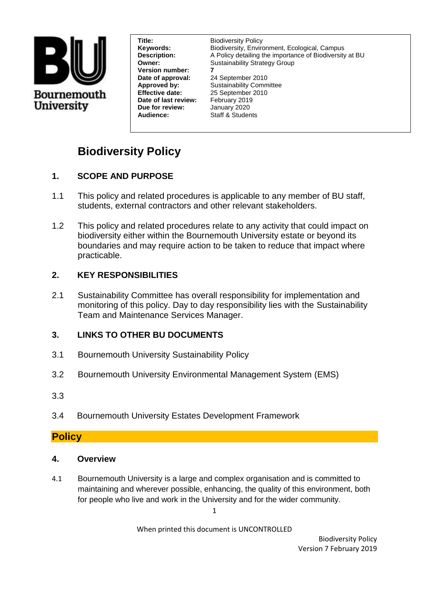

**Version number: 7 Date of approval: Date of last review:** February 2019<br> **Due for review:** January 2020 **Due for review: Audience:** Staff & Students

**Title: Biodiversity Policy Keywords:** Biodiversity, Environment, Ecological, Campus **Description:** A Policy detailing the importance of Biodiversity at BU **Owner:** Sustainability Strategy Group

**Approved by:** Sustainability Committee **Effective date:** 25 September 2010

# **Biodiversity Policy**

# **1. SCOPE AND PURPOSE**

- 1.1 This policy and related procedures is applicable to any member of BU staff, students, external contractors and other relevant stakeholders.
- 1.2 This policy and related procedures relate to any activity that could impact on biodiversity either within the Bournemouth University estate or beyond its boundaries and may require action to be taken to reduce that impact where practicable.

# **2. KEY RESPONSIBILITIES**

2.1 Sustainability Committee has overall responsibility for implementation and monitoring of this policy. Day to day responsibility lies with the Sustainability Team and Maintenance Services Manager.

# **3. LINKS TO OTHER BU DOCUMENTS**

- 3.1 Bournemouth University Sustainability Policy
- 3.2 Bournemouth University Environmental Management System (EMS)
- 3.3
- 3.4 Bournemouth University Estates Development Framework

# **Policy**

- **4. Overview**
- 4.1 Bournemouth University is a large and complex organisation and is committed to maintaining and wherever possible, enhancing, the quality of this environment, both for people who live and work in the University and for the wider community.

1

When printed this document is UNCONTROLLED

Biodiversity Policy Version 7 February 2019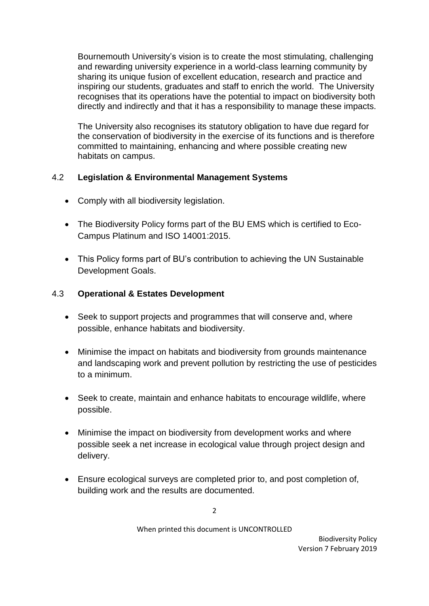Bournemouth University's vision is to create the most stimulating, challenging and rewarding university experience in a world-class learning community by sharing its unique fusion of excellent education, research and practice and inspiring our students, graduates and staff to enrich the world. The University recognises that its operations have the potential to impact on biodiversity both directly and indirectly and that it has a responsibility to manage these impacts.

The University also recognises its statutory obligation to have due regard for the conservation of biodiversity in the exercise of its functions and is therefore committed to maintaining, enhancing and where possible creating new habitats on campus.

#### 4.2 **Legislation & Environmental Management Systems**

- Comply with all biodiversity legislation.
- The Biodiversity Policy forms part of the BU EMS which is certified to Eco-Campus Platinum and ISO 14001:2015.
- This Policy forms part of BU's contribution to achieving the UN Sustainable Development Goals.

#### 4.3 **Operational & Estates Development**

- Seek to support projects and programmes that will conserve and, where possible, enhance habitats and biodiversity.
- Minimise the impact on habitats and biodiversity from grounds maintenance and landscaping work and prevent pollution by restricting the use of pesticides to a minimum.
- Seek to create, maintain and enhance habitats to encourage wildlife, where possible.
- Minimise the impact on biodiversity from development works and where possible seek a net increase in ecological value through project design and delivery.
- Ensure ecological surveys are completed prior to, and post completion of, building work and the results are documented.

When printed this document is UNCONTROLLED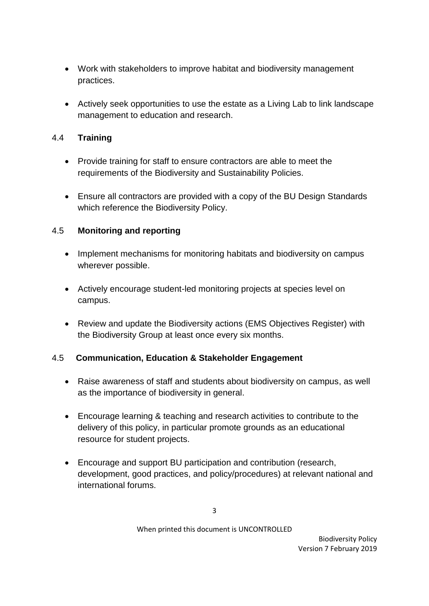- Work with stakeholders to improve habitat and biodiversity management practices.
- Actively seek opportunities to use the estate as a Living Lab to link landscape management to education and research.

# 4.4 **Training**

- Provide training for staff to ensure contractors are able to meet the requirements of the Biodiversity and Sustainability Policies.
- Ensure all contractors are provided with a copy of the BU Design Standards which reference the Biodiversity Policy.

# 4.5 **Monitoring and reporting**

- Implement mechanisms for monitoring habitats and biodiversity on campus wherever possible.
- Actively encourage student-led monitoring projects at species level on campus.
- Review and update the Biodiversity actions (EMS Objectives Register) with the Biodiversity Group at least once every six months.

# 4.5 **Communication, Education & Stakeholder Engagement**

- Raise awareness of staff and students about biodiversity on campus, as well as the importance of biodiversity in general.
- Encourage learning & teaching and research activities to contribute to the delivery of this policy, in particular promote grounds as an educational resource for student projects.
- Encourage and support BU participation and contribution (research, development, good practices, and policy/procedures) at relevant national and international forums.

#### When printed this document is UNCONTROLLED